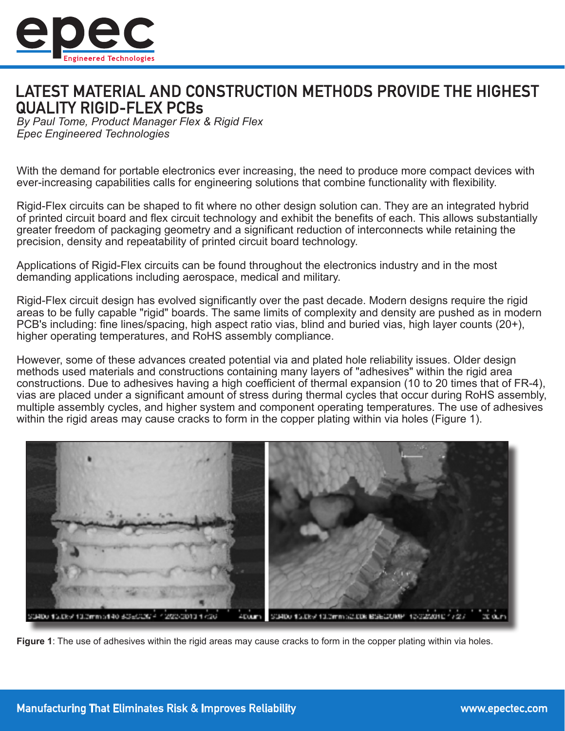

## LATEST MATERIAL AND CONSTRUCTION METHODS PROVIDE THE HIGHEST **QUALITY RIGID-FLEX PCBs**

*By Paul Tome, Product Manager Flex & Rigid Flex Epec Engineered Technologies*

With the demand for portable electronics ever increasing, the need to produce more compact devices with ever-increasing capabilities calls for engineering solutions that combine functionality with flexibility.

Rigid-Flex circuits can be shaped to fit where no other design solution can. They are an integrated hybrid of printed circuit board and flex circuit technology and exhibit the benefits of each. This allows substantially greater freedom of packaging geometry and a significant reduction of interconnects while retaining the precision, density and repeatability of printed circuit board technology.

Applications of Rigid-Flex circuits can be found throughout the electronics industry and in the most demanding applications including aerospace, medical and military.

Rigid-Flex circuit design has evolved significantly over the past decade. Modern designs require the rigid areas to be fully capable "rigid" boards. The same limits of complexity and density are pushed as in modern PCB's including: fine lines/spacing, high aspect ratio vias, blind and buried vias, high layer counts (20+), higher operating temperatures, and RoHS assembly compliance.

However, some of these advances created potential via and plated hole reliability issues. Older design methods used materials and constructions containing many layers of "adhesives" within the rigid area constructions. Due to adhesives having a high coefficient of thermal expansion (10 to 20 times that of FR-4), vias are placed under a significant amount of stress during thermal cycles that occur during RoHS assembly, multiple assembly cycles, and higher system and component operating temperatures. The use of adhesives within the rigid areas may cause cracks to form in the copper plating within via holes (Figure 1).



**Figure 1**: The use of adhesives within the rigid areas may cause cracks to form in the copper plating within via holes.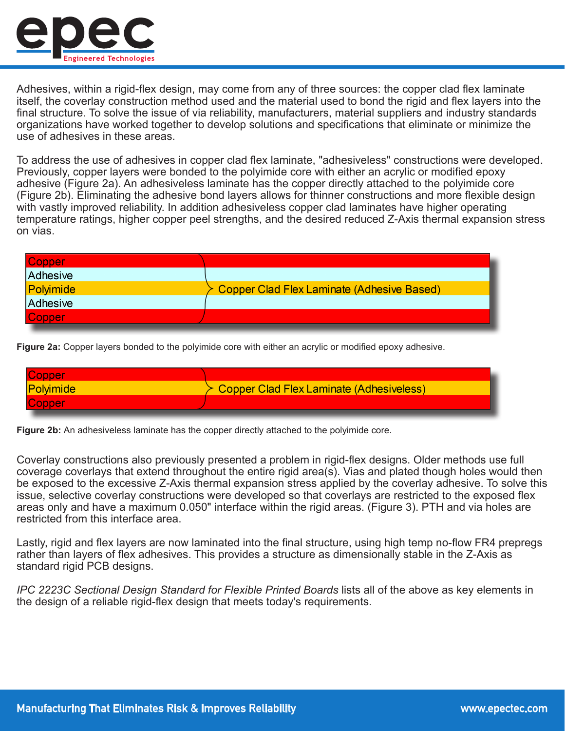

Adhesives, within a rigid-flex design, may come from any of three sources: the copper clad flex laminate itself, the coverlay construction method used and the material used to bond the rigid and flex layers into the final structure. To solve the issue of via reliability, manufacturers, material suppliers and industry standards organizations have worked together to develop solutions and specifications that eliminate or minimize the use of adhesives in these areas.

To address the use of adhesives in copper clad flex laminate, "adhesiveless" constructions were developed. Previously, copper layers were bonded to the polyimide core with either an acrylic or modified epoxy adhesive (Figure 2a). An adhesiveless laminate has the copper directly attached to the polyimide core (Figure 2b). Eliminating the adhesive bond layers allows for thinner constructions and more flexible design with vastly improved reliability. In addition adhesiveless copper clad laminates have higher operating temperature ratings, higher copper peel strengths, and the desired reduced Z-Axis thermal expansion stress on vias.

| <b>Copper</b> |                                              |
|---------------|----------------------------------------------|
| Adhesive      |                                              |
| Polyimide     | ≻ Copper Clad Flex Laminate (Adhesive Based) |
| Adhesive      |                                              |
| Copper        |                                              |

**Figure 2a:** Copper layers bonded to the polyimide core with either an acrylic or modified epoxy adhesive.

| <b>Copper</b> |                                          |
|---------------|------------------------------------------|
| Polyimide     | Copper Clad Flex Laminate (Adhesiveless) |
| <b>Copper</b> |                                          |
|               |                                          |

**Figure 2b:** An adhesiveless laminate has the copper directly attached to the polyimide core.

Coverlay constructions also previously presented a problem in rigid-flex designs. Older methods use full coverage coverlays that extend throughout the entire rigid area(s). Vias and plated though holes would then be exposed to the excessive Z-Axis thermal expansion stress applied by the coverlay adhesive. To solve this issue, selective coverlay constructions were developed so that coverlays are restricted to the exposed flex areas only and have a maximum 0.050" interface within the rigid areas. (Figure 3). PTH and via holes are restricted from this interface area.

Lastly, rigid and flex layers are now laminated into the final structure, using high temp no-flow FR4 prepregs rather than layers of flex adhesives. This provides a structure as dimensionally stable in the Z-Axis as standard rigid PCB designs.

*IPC 2223C Sectional Design Standard for Flexible Printed Boards* lists all of the above as key elements in the design of a reliable rigid-flex design that meets today's requirements.